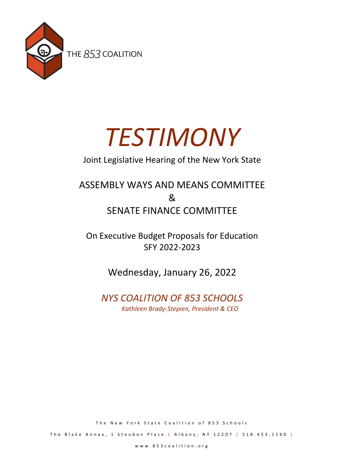

# *TESTIMONY*

## Joint Legislative Hearing of the New York State

## ASSEMBLY WAYS AND MEANS COMMITTEE & SENATE FINANCE COMMITTEE

On Executive Budget Proposals for Education SFY 2022-2023

Wednesday, January 26, 2022

## *NYS COALITION OF 853 SCHOOLS Kathleen Brady-Stepien, President & CEO*

The New York State Coalition of 853 Schools

The Blake Annex, 1 Steuben Place | Albany, NY 12207 | 518.453.1160 |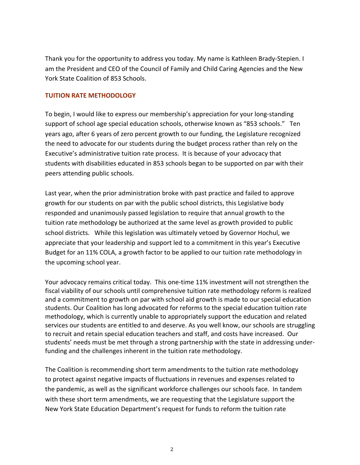Thank you for the opportunity to address you today. My name is Kathleen Brady-Stepien. I am the President and CEO of the Council of Family and Child Caring Agencies and the New York State Coalition of 853 Schools.

### **TUITION RATE METHODOLOGY**

To begin, I would like to express our membership's appreciation for your long-standing support of school age special education schools, otherwise known as "853 schools." Ten years ago, after 6 years of zero percent growth to our funding, the Legislature recognized the need to advocate for our students during the budget process rather than rely on the Executive's administrative tuition rate process. It is because of your advocacy that students with disabilities educated in 853 schools began to be supported on par with their peers attending public schools.

Last year, when the prior administration broke with past practice and failed to approve growth for our students on par with the public school districts, this Legislative body responded and unanimously passed legislation to require that annual growth to the tuition rate methodology be authorized at the same level as growth provided to public school districts. While this legislation was ultimately vetoed by Governor Hochul, we appreciate that your leadership and support led to a commitment in this year's Executive Budget for an 11% COLA, a growth factor to be applied to our tuition rate methodology in the upcoming school year.

Your advocacy remains critical today. This one-time 11% investment will not strengthen the fiscal viability of our schools until comprehensive tuition rate methodology reform is realized and a commitment to growth on par with school aid growth is made to our special education students. Our Coalition has long advocated for reforms to the special education tuition rate methodology, which is currently unable to appropriately support the education and related services our students are entitled to and deserve. As you well know, our schools are struggling to recruit and retain special education teachers and staff, and costs have increased. Our students' needs must be met through a strong partnership with the state in addressing underfunding and the challenges inherent in the tuition rate methodology.

The Coalition is recommending short term amendments to the tuition rate methodology to protect against negative impacts of fluctuations in revenues and expenses related to the pandemic, as well as the significant workforce challenges our schools face. In tandem with these short term amendments, we are requesting that the Legislature support the New York State Education Department's request for funds to reform the tuition rate